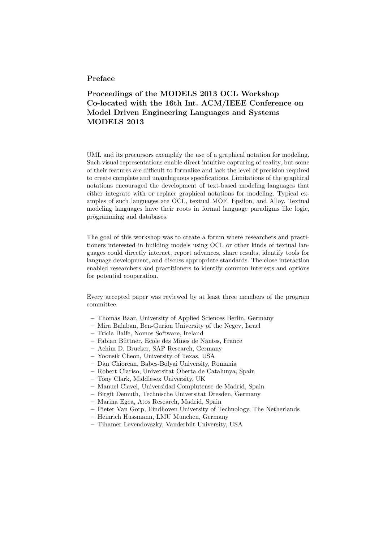## Preface

## Proceedings of the MODELS 2013 OCL Workshop Co-located with the 16th Int. ACM/IEEE Conference on Model Driven Engineering Languages and Systems MODELS 2013

UML and its precursors exemplify the use of a graphical notation for modeling. Such visual representations enable direct intuitive capturing of reality, but some of their features are difficult to formalize and lack the level of precision required to create complete and unambiguous specifications. Limitations of the graphical notations encouraged the development of text-based modeling languages that either integrate with or replace graphical notations for modeling. Typical examples of such languages are OCL, textual MOF, Epsilon, and Alloy. Textual modeling languages have their roots in formal language paradigms like logic, programming and databases.

The goal of this workshop was to create a forum where researchers and practitioners interested in building models using OCL or other kinds of textual languages could directly interact, report advances, share results, identify tools for language development, and discuss appropriate standards. The close interaction enabled researchers and practitioners to identify common interests and options for potential cooperation.

Every accepted paper was reviewed by at least three members of the program committee.

- Thomas Baar, University of Applied Sciences Berlin, Germany
- Mira Balaban, Ben-Gurion University of the Negev, Israel
- Tricia Balfe, Nomos Software, Ireland
- Fabian B¨uttner, Ecole des Mines de Nantes, France
- Achim D. Brucker, SAP Research, Germany
- Yoonsik Cheon, University of Texas, USA
- Dan Chiorean, Babes-Bolyai University, Romania
- Robert Clariso, Universitat Oberta de Catalunya, Spain
- Tony Clark, Middlesex University, UK
- Manuel Clavel, Universidad Complutense de Madrid, Spain
- Birgit Demuth, Technische Universitat Dresden, Germany
- Marina Egea, Atos Research, Madrid, Spain
- Pieter Van Gorp, Eindhoven University of Technology, The Netherlands
- Heinrich Hussmann, LMU Munchen, Germany
- Tihamer Levendovszky, Vanderbilt University, USA